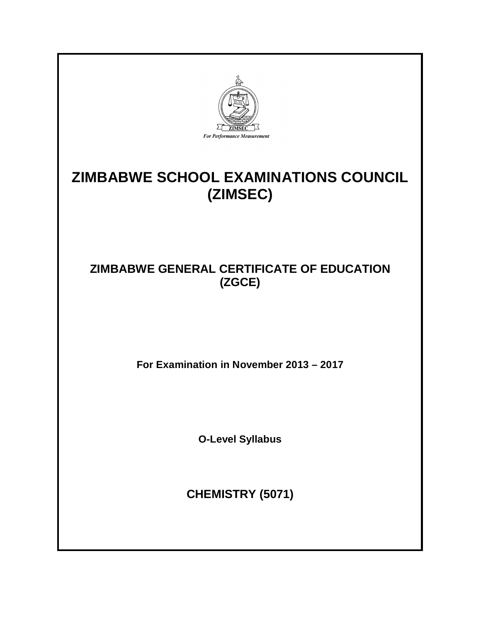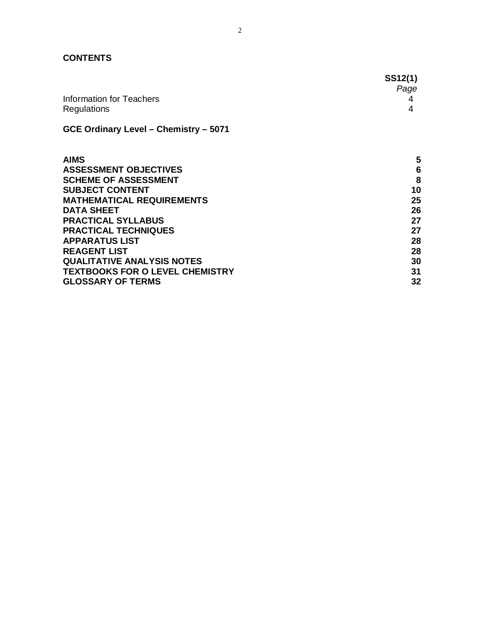## **CONTENTS**

|                                              | <b>SS12(1)</b><br>Page |
|----------------------------------------------|------------------------|
| Information for Teachers<br>Regulations      |                        |
| <b>GCE Ordinary Level - Chemistry - 5071</b> |                        |

| <b>AIMS</b>                            | 5  |
|----------------------------------------|----|
| <b>ASSESSMENT OBJECTIVES</b>           | 6  |
| <b>SCHEME OF ASSESSMENT</b>            | 8  |
| <b>SUBJECT CONTENT</b>                 | 10 |
| <b>MATHEMATICAL REQUIREMENTS</b>       | 25 |
| <b>DATA SHEET</b>                      | 26 |
| <b>PRACTICAL SYLLABUS</b>              | 27 |
| <b>PRACTICAL TECHNIQUES</b>            | 27 |
| <b>APPARATUS LIST</b>                  | 28 |
| <b>REAGENT LIST</b>                    | 28 |
| <b>QUALITATIVE ANALYSIS NOTES</b>      | 30 |
| <b>TEXTBOOKS FOR O LEVEL CHEMISTRY</b> | 31 |
| <b>GLOSSARY OF TERMS</b>               | 32 |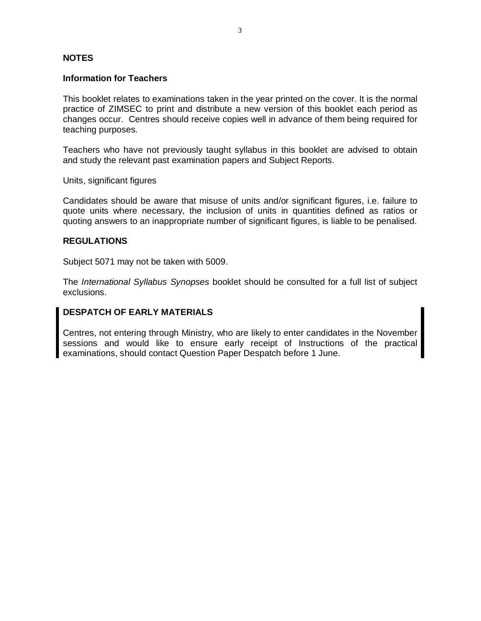#### **NOTES**

#### **Information for Teachers**

This booklet relates to examinations taken in the year printed on the cover. It is the normal practice of ZIMSEC to print and distribute a new version of this booklet each period as changes occur. Centres should receive copies well in advance of them being required for teaching purposes.

Teachers who have not previously taught syllabus in this booklet are advised to obtain and study the relevant past examination papers and Subject Reports.

Units, significant figures

Candidates should be aware that misuse of units and/or significant figures, i.e. failure to quote units where necessary, the inclusion of units in quantities defined as ratios or quoting answers to an inappropriate number of significant figures, is liable to be penalised.

#### **REGULATIONS**

Subject 5071 may not be taken with 5009.

The *International Syllabus Synopses* booklet should be consulted for a full list of subject exclusions.

## **DESPATCH OF EARLY MATERIALS**

Centres, not entering through Ministry, who are likely to enter candidates in the November sessions and would like to ensure early receipt of Instructions of the practical examinations, should contact Question Paper Despatch before 1 June.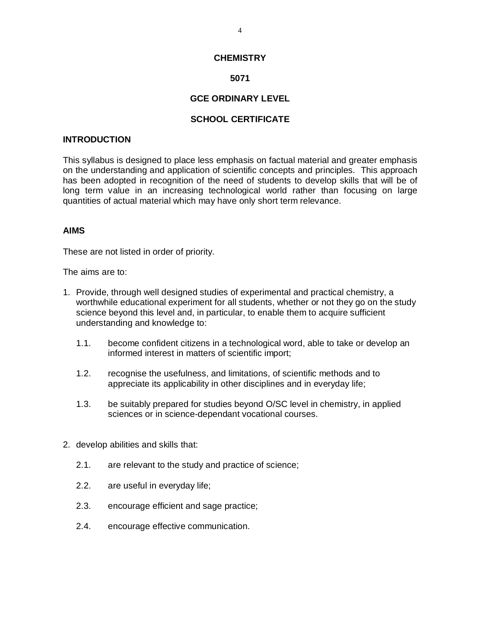#### **CHEMISTRY**

## **5071**

#### **GCE ORDINARY LEVEL**

#### **SCHOOL CERTIFICATE**

#### **INTRODUCTION**

This syllabus is designed to place less emphasis on factual material and greater emphasis on the understanding and application of scientific concepts and principles. This approach has been adopted in recognition of the need of students to develop skills that will be of long term value in an increasing technological world rather than focusing on large quantities of actual material which may have only short term relevance.

#### **AIMS**

These are not listed in order of priority.

The aims are to:

- 1. Provide, through well designed studies of experimental and practical chemistry, a worthwhile educational experiment for all students, whether or not they go on the study science beyond this level and, in particular, to enable them to acquire sufficient understanding and knowledge to:
	- 1.1. become confident citizens in a technological word, able to take or develop an informed interest in matters of scientific import;
	- 1.2. recognise the usefulness, and limitations, of scientific methods and to appreciate its applicability in other disciplines and in everyday life;
	- 1.3. be suitably prepared for studies beyond O/SC level in chemistry, in applied sciences or in science-dependant vocational courses.
- 2. develop abilities and skills that:
	- 2.1. are relevant to the study and practice of science;
	- 2.2. are useful in everyday life;
	- 2.3. encourage efficient and sage practice;
	- 2.4. encourage effective communication.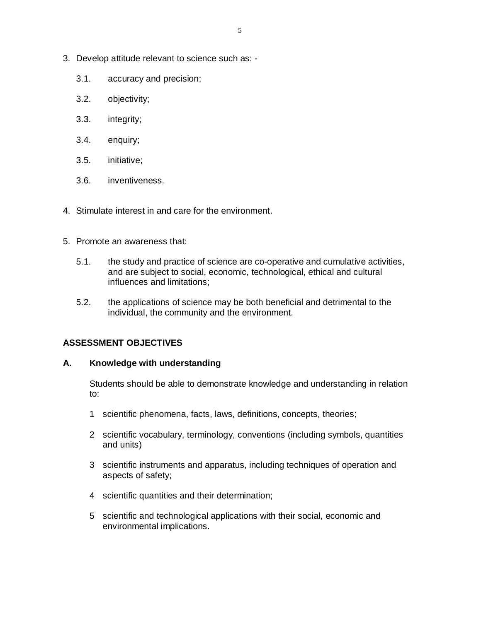- 3. Develop attitude relevant to science such as:
	- 3.1. accuracy and precision;
	- 3.2. objectivity;
	- 3.3. integrity;
	- 3.4. enquiry;
	- 3.5. initiative;
	- 3.6. inventiveness.
- 4. Stimulate interest in and care for the environment.
- 5. Promote an awareness that:
	- 5.1. the study and practice of science are co-operative and cumulative activities, and are subject to social, economic, technological, ethical and cultural influences and limitations;
	- 5.2. the applications of science may be both beneficial and detrimental to the individual, the community and the environment.

#### **ASSESSMENT OBJECTIVES**

#### **A. Knowledge with understanding**

Students should be able to demonstrate knowledge and understanding in relation to:

- 1 scientific phenomena, facts, laws, definitions, concepts, theories;
- 2 scientific vocabulary, terminology, conventions (including symbols, quantities and units)
- 3 scientific instruments and apparatus, including techniques of operation and aspects of safety;
- 4 scientific quantities and their determination;
- 5 scientific and technological applications with their social, economic and environmental implications.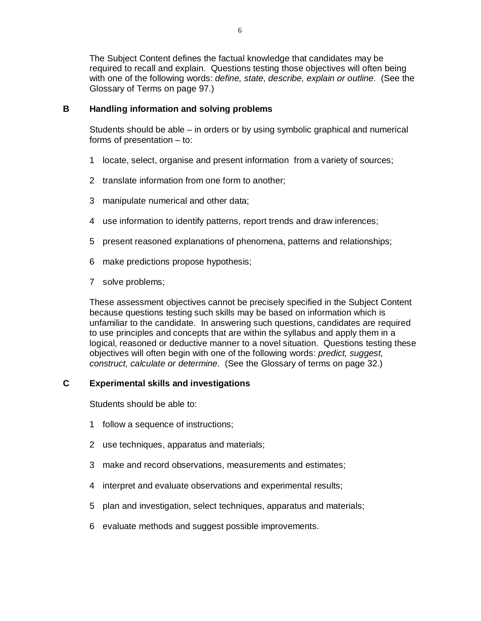The Subject Content defines the factual knowledge that candidates may be required to recall and explain. Questions testing those objectives will often being with one of the following words: *define, state, describe, explain or outline*. (See the Glossary of Terms on page 97.)

#### **B Handling information and solving problems**

Students should be able – in orders or by using symbolic graphical and numerical forms of presentation – to:

- 1 locate, select, organise and present information from a variety of sources;
- 2 translate information from one form to another;
- 3 manipulate numerical and other data;
- 4 use information to identify patterns, report trends and draw inferences;
- 5 present reasoned explanations of phenomena, patterns and relationships;
- 6 make predictions propose hypothesis;
- 7 solve problems;

These assessment objectives cannot be precisely specified in the Subject Content because questions testing such skills may be based on information which is unfamiliar to the candidate. In answering such questions, candidates are required to use principles and concepts that are within the syllabus and apply them in a logical, reasoned or deductive manner to a novel situation. Questions testing these objectives will often begin with one of the following words: *predict, suggest, construct, calculate or determine*. (See the Glossary of terms on page 32.)

#### **C Experimental skills and investigations**

Students should be able to:

- 1 follow a sequence of instructions;
- 2 use techniques, apparatus and materials;
- 3 make and record observations, measurements and estimates;
- 4 interpret and evaluate observations and experimental results;
- 5 plan and investigation, select techniques, apparatus and materials;
- 6 evaluate methods and suggest possible improvements.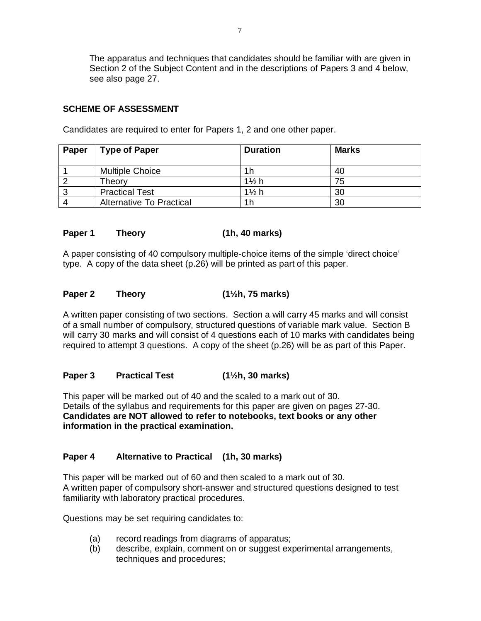The apparatus and techniques that candidates should be familiar with are given in Section 2 of the Subject Content and in the descriptions of Papers 3 and 4 below, see also page 27.

## **SCHEME OF ASSESSMENT**

| Paper | <b>Type of Paper</b>            | <b>Duration</b>  | <b>Marks</b> |
|-------|---------------------------------|------------------|--------------|
|       | <b>Multiple Choice</b>          | 1 h              | 40           |
|       | Theory                          | $1\frac{1}{2}$ h | 75           |
| 3     | <b>Practical Test</b>           | $1\frac{1}{2}$ h | 30           |
|       | <b>Alternative To Practical</b> | <u>1h</u>        | 30           |

Candidates are required to enter for Papers 1, 2 and one other paper.

## **Paper 1 Theory (1h, 40 marks)**

A paper consisting of 40 compulsory multiple-choice items of the simple 'direct choice' type. A copy of the data sheet (p.26) will be printed as part of this paper.

#### **Paper 2 Theory (1½h, 75 marks)**

A written paper consisting of two sections. Section a will carry 45 marks and will consist of a small number of compulsory, structured questions of variable mark value. Section B will carry 30 marks and will consist of 4 questions each of 10 marks with candidates being required to attempt 3 questions. A copy of the sheet (p.26) will be as part of this Paper.

#### **Paper 3 Practical Test (1½h, 30 marks)**

This paper will be marked out of 40 and the scaled to a mark out of 30. Details of the syllabus and requirements for this paper are given on pages 27-30. **Candidates are NOT allowed to refer to notebooks, text books or any other information in the practical examination.**

## **Paper 4 Alternative to Practical (1h, 30 marks)**

This paper will be marked out of 60 and then scaled to a mark out of 30. A written paper of compulsory short-answer and structured questions designed to test familiarity with laboratory practical procedures.

Questions may be set requiring candidates to:

- (a) record readings from diagrams of apparatus;
- (b) describe, explain, comment on or suggest experimental arrangements, techniques and procedures;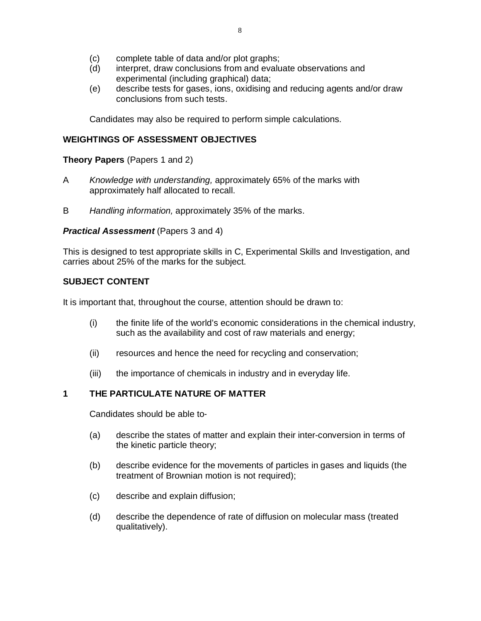- (c) complete table of data and/or plot graphs;
- (d) interpret, draw conclusions from and evaluate observations and experimental (including graphical) data;
- (e) describe tests for gases, ions, oxidising and reducing agents and/or draw conclusions from such tests.

Candidates may also be required to perform simple calculations.

## **WEIGHTINGS OF ASSESSMENT OBJECTIVES**

**Theory Papers** (Papers 1 and 2)

- A *Knowledge with understanding,* approximately 65% of the marks with approximately half allocated to recall.
- B *Handling information,* approximately 35% of the marks.

#### *Practical Assessment* (Papers 3 and 4)

This is designed to test appropriate skills in C, Experimental Skills and Investigation, and carries about 25% of the marks for the subject.

#### **SUBJECT CONTENT**

It is important that, throughout the course, attention should be drawn to:

- (i) the finite life of the world's economic considerations in the chemical industry, such as the availability and cost of raw materials and energy;
- (ii) resources and hence the need for recycling and conservation;
- (iii) the importance of chemicals in industry and in everyday life.

#### **1 THE PARTICULATE NATURE OF MATTER**

- (a) describe the states of matter and explain their inter-conversion in terms of the kinetic particle theory;
- (b) describe evidence for the movements of particles in gases and liquids (the treatment of Brownian motion is not required);
- (c) describe and explain diffusion;
- (d) describe the dependence of rate of diffusion on molecular mass (treated qualitatively).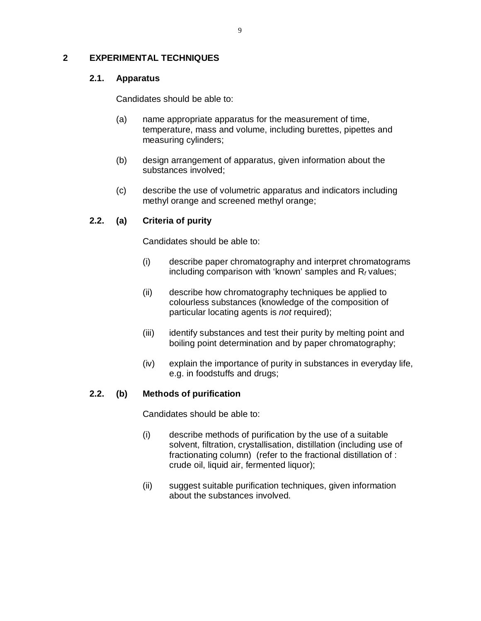### **2 EXPERIMENTAL TECHNIQUES**

## **2.1. Apparatus**

Candidates should be able to:

- (a) name appropriate apparatus for the measurement of time, temperature, mass and volume, including burettes, pipettes and measuring cylinders;
- (b) design arrangement of apparatus, given information about the substances involved;
- (c) describe the use of volumetric apparatus and indicators including methyl orange and screened methyl orange;

## **2.2. (a) Criteria of purity**

Candidates should be able to:

- (i) describe paper chromatography and interpret chromatograms including comparison with 'known' samples and R*<sup>f</sup>* values;
- (ii) describe how chromatography techniques be applied to colourless substances (knowledge of the composition of particular locating agents is *not* required);
- (iii) identify substances and test their purity by melting point and boiling point determination and by paper chromatography;
- (iv) explain the importance of purity in substances in everyday life, e.g. in foodstuffs and drugs;

#### **2.2. (b) Methods of purification**

- (i) describe methods of purification by the use of a suitable solvent, filtration, crystallisation, distillation (including use of fractionating column) (refer to the fractional distillation of : crude oil, liquid air, fermented liquor);
- (ii) suggest suitable purification techniques, given information about the substances involved.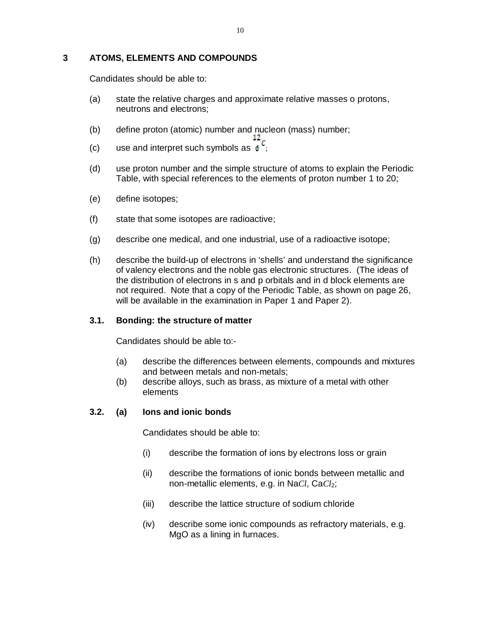## **3 ATOMS, ELEMENTS AND COMPOUNDS**

Candidates should be able to:

- (a) state the relative charges and approximate relative masses o protons, neutrons and electrons;
- (b) define proton (atomic) number and nucleon (mass) number;<br> $12<sub>r</sub>$
- $(c)$  use and interpret such symbols as  $6$
- (d) use proton number and the simple structure of atoms to explain the Periodic Table, with special references to the elements of proton number 1 to 20;
- (e) define isotopes;
- (f) state that some isotopes are radioactive;
- (g) describe one medical, and one industrial, use of a radioactive isotope;
- (h) describe the build-up of electrons in 'shells' and understand the significance of valency electrons and the noble gas electronic structures. (The ideas of the distribution of electrons in s and p orbitals and in d block elements are not required. Note that a copy of the Periodic Table, as shown on page 26, will be available in the examination in Paper 1 and Paper 2).

#### **3.1. Bonding: the structure of matter**

Candidates should be able to:-

- (a) describe the differences between elements, compounds and mixtures and between metals and non-metals;
- (b) describe alloys, such as brass, as mixture of a metal with other elements

#### **3.2. (a) Ions and ionic bonds**

- (i) describe the formation of ions by electrons loss or grain
- (ii) describe the formations of ionic bonds between metallic and non-metallic elements, e.g. in NaCl, CaCl<sub>2</sub>;
- (iii) describe the lattice structure of sodium chloride
- (iv) describe some ionic compounds as refractory materials, e.g. MgO as a lining in furnaces.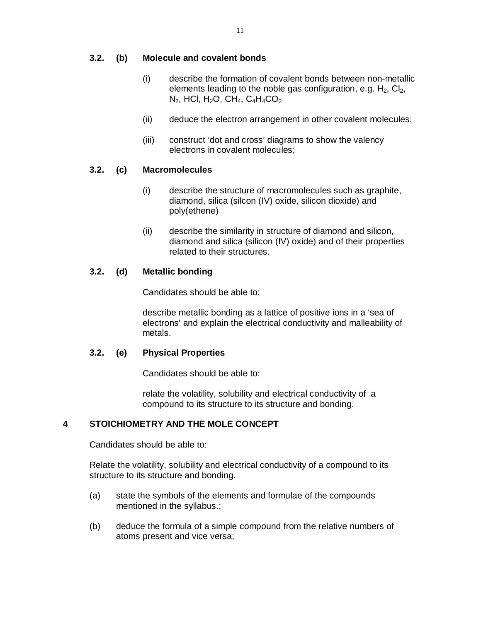#### **3.2. (b) Molecule and covalent bonds**

- (i) describe the formation of covalent bonds between non-metallic elements leading to the noble gas configuration, e.g.  $H_2$ ,  $Cl_2$ ,  $N_2$ , HCl, H<sub>2</sub>O, CH<sub>4</sub>, C<sub>4</sub>H<sub>4</sub>CO<sub>2</sub>
- (ii) deduce the electron arrangement in other covalent molecules;
- (iii) construct 'dot and cross' diagrams to show the valency electrons in covalent molecules;

#### **3.2. (c) Macromolecules**

- (i) describe the structure of macromolecules such as graphite, diamond, silica (silcon (IV) oxide, silicon dioxide) and poly(ethene)
- (ii) describe the similarity in structure of diamond and silicon, diamond and silica (silicon (IV) oxide) and of their properties related to their structures.

#### **3.2. (d) Metallic bonding**

Candidates should be able to:

describe metallic bonding as a lattice of positive ions in a 'sea of electrons' and explain the electrical conductivity and malleability of metals.

#### **3.2. (e) Physical Properties**

Candidates should be able to:

relate the volatility, solubility and electrical conductivity of a compound to its structure to its structure and bonding.

#### **4 STOICHIOMETRY AND THE MOLE CONCEPT**

Candidates should be able to:

Relate the volatility, solubility and electrical conductivity of a compound to its structure to its structure and bonding.

- (a) state the symbols of the elements and formulae of the compounds mentioned in the syllabus.;
- (b) deduce the formula of a simple compound from the relative numbers of atoms present and vice versa;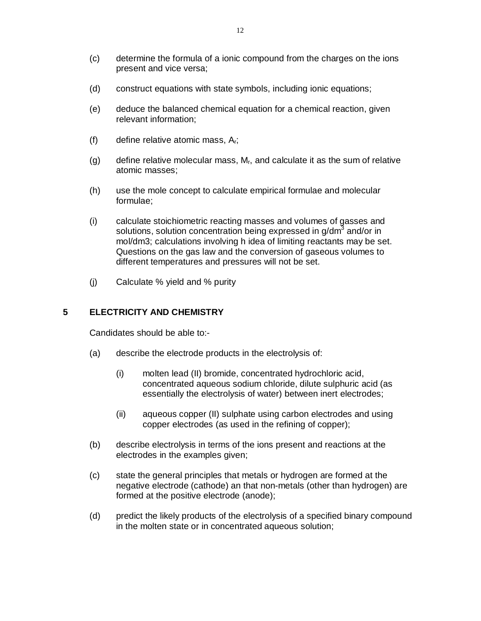- (c) determine the formula of a ionic compound from the charges on the ions present and vice versa;
- (d) construct equations with state symbols, including ionic equations;
- (e) deduce the balanced chemical equation for a chemical reaction, given relevant information;
- (f) define relative atomic mass,  $A_r$ ;
- (g) define relative molecular mass,  $M_r$ , and calculate it as the sum of relative atomic masses;
- (h) use the mole concept to calculate empirical formulae and molecular formulae;
- (i) calculate stoichiometric reacting masses and volumes of gasses and solutions, solution concentration being expressed in g/dm<sup>3</sup> and/or in mol/dm3; calculations involving h idea of limiting reactants may be set. Questions on the gas law and the conversion of gaseous volumes to different temperatures and pressures will not be set.
- (j) Calculate % yield and % purity

## **5 ELECTRICITY AND CHEMISTRY**

- (a) describe the electrode products in the electrolysis of:
	- (i) molten lead (II) bromide, concentrated hydrochloric acid, concentrated aqueous sodium chloride, dilute sulphuric acid (as essentially the electrolysis of water) between inert electrodes;
	- (ii) aqueous copper (II) sulphate using carbon electrodes and using copper electrodes (as used in the refining of copper);
- (b) describe electrolysis in terms of the ions present and reactions at the electrodes in the examples given;
- (c) state the general principles that metals or hydrogen are formed at the negative electrode (cathode) an that non-metals (other than hydrogen) are formed at the positive electrode (anode);
- (d) predict the likely products of the electrolysis of a specified binary compound in the molten state or in concentrated aqueous solution;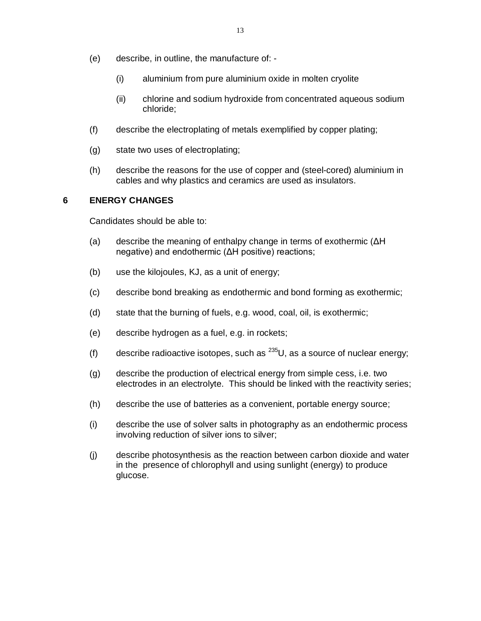- (e) describe, in outline, the manufacture of:
	- (i) aluminium from pure aluminium oxide in molten cryolite
	- (ii) chlorine and sodium hydroxide from concentrated aqueous sodium chloride;
- (f) describe the electroplating of metals exemplified by copper plating;
- (g) state two uses of electroplating;
- (h) describe the reasons for the use of copper and (steel-cored) aluminium in cables and why plastics and ceramics are used as insulators.

#### **6 ENERGY CHANGES**

- (a) describe the meaning of enthalpy change in terms of exothermic (ΔH negative) and endothermic (ΔH positive) reactions;
- (b) use the kilojoules, KJ, as a unit of energy;
- (c) describe bond breaking as endothermic and bond forming as exothermic;
- (d) state that the burning of fuels, e.g. wood, coal, oil, is exothermic;
- (e) describe hydrogen as a fuel, e.g. in rockets;
- (f) describe radioactive isotopes, such as  $^{235}U$ , as a source of nuclear energy;
- (g) describe the production of electrical energy from simple cess, i.e. two electrodes in an electrolyte. This should be linked with the reactivity series;
- (h) describe the use of batteries as a convenient, portable energy source;
- (i) describe the use of solver salts in photography as an endothermic process involving reduction of silver ions to silver;
- (j) describe photosynthesis as the reaction between carbon dioxide and water in the presence of chlorophyll and using sunlight (energy) to produce glucose.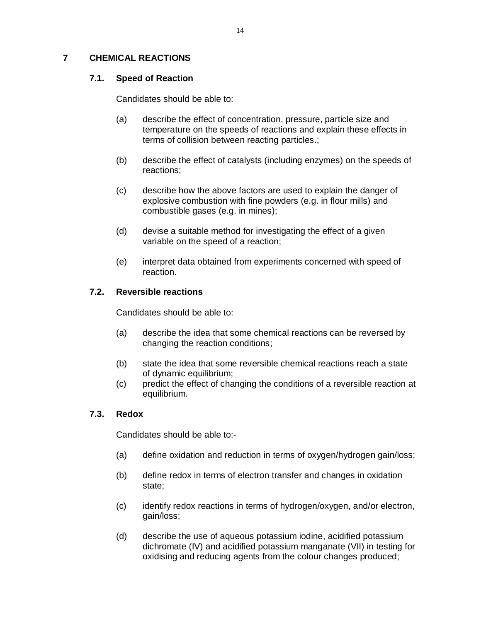## **7 CHEMICAL REACTIONS**

## **7.1. Speed of Reaction**

Candidates should be able to:

- (a) describe the effect of concentration, pressure, particle size and temperature on the speeds of reactions and explain these effects in terms of collision between reacting particles.;
- (b) describe the effect of catalysts (including enzymes) on the speeds of reactions;
- (c) describe how the above factors are used to explain the danger of explosive combustion with fine powders (e.g. in flour mills) and combustible gases (e.g. in mines);
- (d) devise a suitable method for investigating the effect of a given variable on the speed of a reaction;
- (e) interpret data obtained from experiments concerned with speed of reaction.

## **7.2. Reversible reactions**

Candidates should be able to:

- (a) describe the idea that some chemical reactions can be reversed by changing the reaction conditions;
- (b) state the idea that some reversible chemical reactions reach a state of dynamic equilibrium;
- (c) predict the effect of changing the conditions of a reversible reaction at equilibrium.

#### **7.3. Redox**

- (a) define oxidation and reduction in terms of oxygen/hydrogen gain/loss;
- (b) define redox in terms of electron transfer and changes in oxidation state;
- (c) identify redox reactions in terms of hydrogen/oxygen, and/or electron, gain/loss;
- (d) describe the use of aqueous potassium iodine, acidified potassium dichromate (IV) and acidified potassium manganate (VII) in testing for oxidising and reducing agents from the colour changes produced;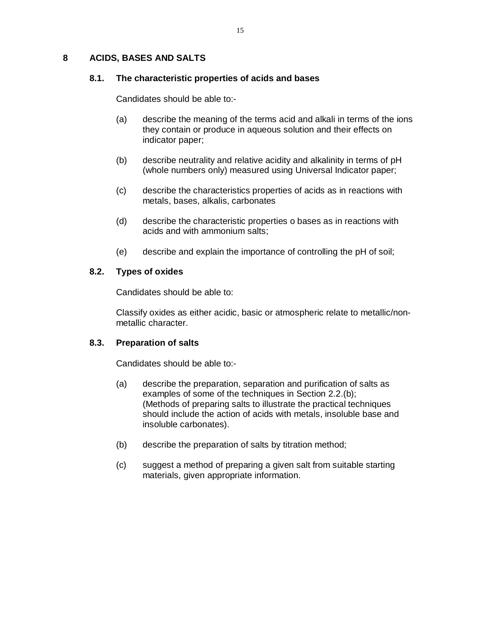#### **8 ACIDS, BASES AND SALTS**

#### **8.1. The characteristic properties of acids and bases**

Candidates should be able to:-

- (a) describe the meaning of the terms acid and alkali in terms of the ions they contain or produce in aqueous solution and their effects on indicator paper;
- (b) describe neutrality and relative acidity and alkalinity in terms of pH (whole numbers only) measured using Universal Indicator paper;
- (c) describe the characteristics properties of acids as in reactions with metals, bases, alkalis, carbonates
- (d) describe the characteristic properties o bases as in reactions with acids and with ammonium salts;
- (e) describe and explain the importance of controlling the pH of soil;

#### **8.2. Types of oxides**

Candidates should be able to:

Classify oxides as either acidic, basic or atmospheric relate to metallic/nonmetallic character.

#### **8.3. Preparation of salts**

- (a) describe the preparation, separation and purification of salts as examples of some of the techniques in Section 2.2.(b); (Methods of preparing salts to illustrate the practical techniques should include the action of acids with metals, insoluble base and insoluble carbonates).
- (b) describe the preparation of salts by titration method;
- (c) suggest a method of preparing a given salt from suitable starting materials, given appropriate information.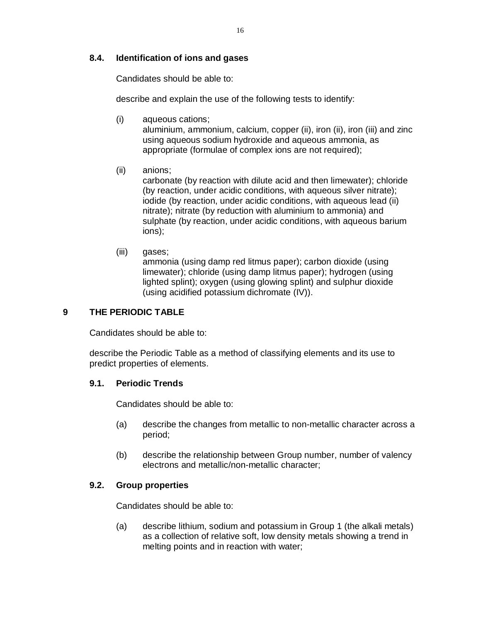## **8.4. Identification of ions and gases**

Candidates should be able to:

describe and explain the use of the following tests to identify:

- (i) aqueous cations; aluminium, ammonium, calcium, copper (ii), iron (ii), iron (iii) and zinc using aqueous sodium hydroxide and aqueous ammonia, as appropriate (formulae of complex ions are not required);
- (ii) anions;

carbonate (by reaction with dilute acid and then limewater); chloride (by reaction, under acidic conditions, with aqueous silver nitrate); iodide (by reaction, under acidic conditions, with aqueous lead (ii) nitrate); nitrate (by reduction with aluminium to ammonia) and sulphate (by reaction, under acidic conditions, with aqueous barium ions);

(iii) gases; ammonia (using damp red litmus paper); carbon dioxide (using limewater); chloride (using damp litmus paper); hydrogen (using lighted splint); oxygen (using glowing splint) and sulphur dioxide (using acidified potassium dichromate (IV)).

#### **9 THE PERIODIC TABLE**

Candidates should be able to:

describe the Periodic Table as a method of classifying elements and its use to predict properties of elements.

#### **9.1. Periodic Trends**

Candidates should be able to:

- (a) describe the changes from metallic to non-metallic character across a period;
- (b) describe the relationship between Group number, number of valency electrons and metallic/non-metallic character;

#### **9.2. Group properties**

Candidates should be able to:

(a) describe lithium, sodium and potassium in Group 1 (the alkali metals) as a collection of relative soft, low density metals showing a trend in melting points and in reaction with water;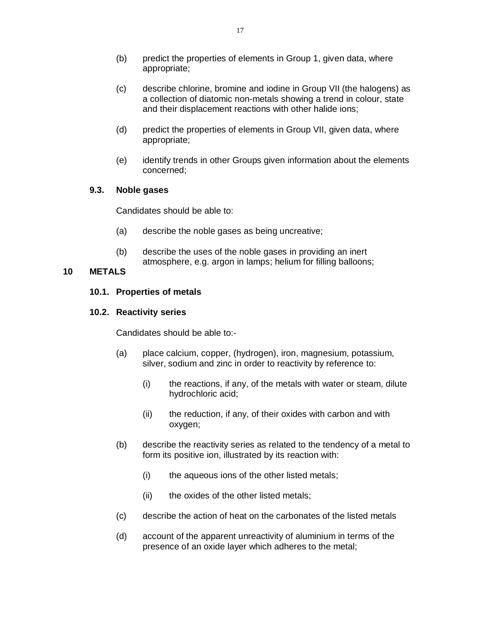- (b) predict the properties of elements in Group 1, given data, where appropriate;
- (c) describe chlorine, bromine and iodine in Group VII (the halogens) as a collection of diatomic non-metals showing a trend in colour, state and their displacement reactions with other halide ions;
- (d) predict the properties of elements in Group VII, given data, where appropriate;
- (e) identify trends in other Groups given information about the elements concerned;

#### **9.3. Noble gases**

Candidates should be able to:

- (a) describe the noble gases as being uncreative;
- (b) describe the uses of the noble gases in providing an inert atmosphere, e.g. argon in lamps; helium for filling balloons;

## **10 METALS**

#### **10.1. Properties of metals**

#### **10.2. Reactivity series**

- (a) place calcium, copper, (hydrogen), iron, magnesium, potassium, silver, sodium and zinc in order to reactivity by reference to:
	- (i) the reactions, if any, of the metals with water or steam, dilute hydrochloric acid;
	- (ii) the reduction, if any, of their oxides with carbon and with oxygen;
- (b) describe the reactivity series as related to the tendency of a metal to form its positive ion, illustrated by its reaction with:
	- (i) the aqueous ions of the other listed metals;
	- (ii) the oxides of the other listed metals;
- (c) describe the action of heat on the carbonates of the listed metals
- (d) account of the apparent unreactivity of aluminium in terms of the presence of an oxide layer which adheres to the metal;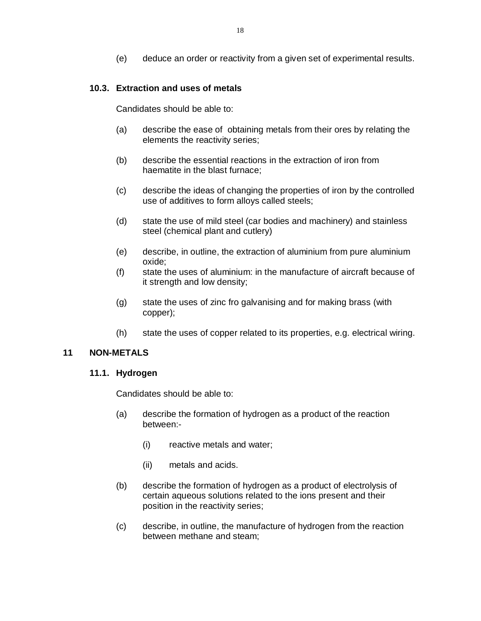(e) deduce an order or reactivity from a given set of experimental results.

## **10.3. Extraction and uses of metals**

Candidates should be able to:

- (a) describe the ease of obtaining metals from their ores by relating the elements the reactivity series;
- (b) describe the essential reactions in the extraction of iron from haematite in the blast furnace;
- (c) describe the ideas of changing the properties of iron by the controlled use of additives to form alloys called steels;
- (d) state the use of mild steel (car bodies and machinery) and stainless steel (chemical plant and cutlery)
- (e) describe, in outline, the extraction of aluminium from pure aluminium oxide;
- (f) state the uses of aluminium: in the manufacture of aircraft because of it strength and low density;
- (g) state the uses of zinc fro galvanising and for making brass (with copper);
- (h) state the uses of copper related to its properties, e.g. electrical wiring.

#### **11 NON-METALS**

#### **11.1. Hydrogen**

- (a) describe the formation of hydrogen as a product of the reaction between:-
	- (i) reactive metals and water;
	- (ii) metals and acids.
- (b) describe the formation of hydrogen as a product of electrolysis of certain aqueous solutions related to the ions present and their position in the reactivity series;
- (c) describe, in outline, the manufacture of hydrogen from the reaction between methane and steam;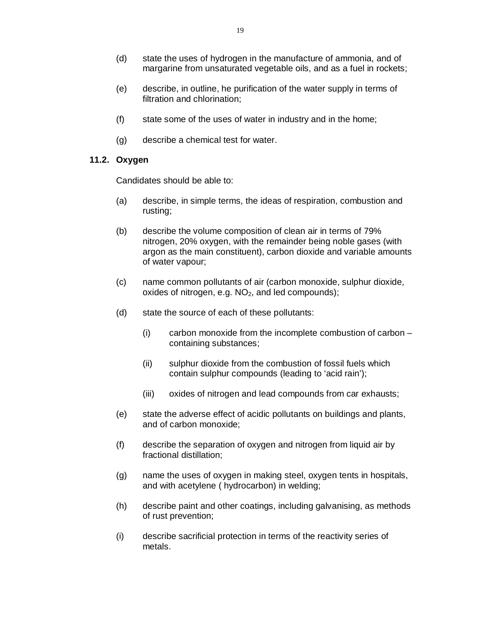- (d) state the uses of hydrogen in the manufacture of ammonia, and of margarine from unsaturated vegetable oils, and as a fuel in rockets;
- (e) describe, in outline, he purification of the water supply in terms of filtration and chlorination;
- (f) state some of the uses of water in industry and in the home;
- (g) describe a chemical test for water.

## **11.2. Oxygen**

- (a) describe, in simple terms, the ideas of respiration, combustion and rusting;
- (b) describe the volume composition of clean air in terms of 79% nitrogen, 20% oxygen, with the remainder being noble gases (with argon as the main constituent), carbon dioxide and variable amounts of water vapour;
- (c) name common pollutants of air (carbon monoxide, sulphur dioxide, oxides of nitrogen, e.g.  $NO<sub>2</sub>$ , and led compounds);
- (d) state the source of each of these pollutants:
	- (i) carbon monoxide from the incomplete combustion of carbon containing substances;
	- (ii) sulphur dioxide from the combustion of fossil fuels which contain sulphur compounds (leading to 'acid rain');
	- (iii) oxides of nitrogen and lead compounds from car exhausts;
- (e) state the adverse effect of acidic pollutants on buildings and plants, and of carbon monoxide;
- (f) describe the separation of oxygen and nitrogen from liquid air by fractional distillation;
- (g) name the uses of oxygen in making steel, oxygen tents in hospitals, and with acetylene ( hydrocarbon) in welding;
- (h) describe paint and other coatings, including galvanising, as methods of rust prevention;
- (i) describe sacrificial protection in terms of the reactivity series of metals.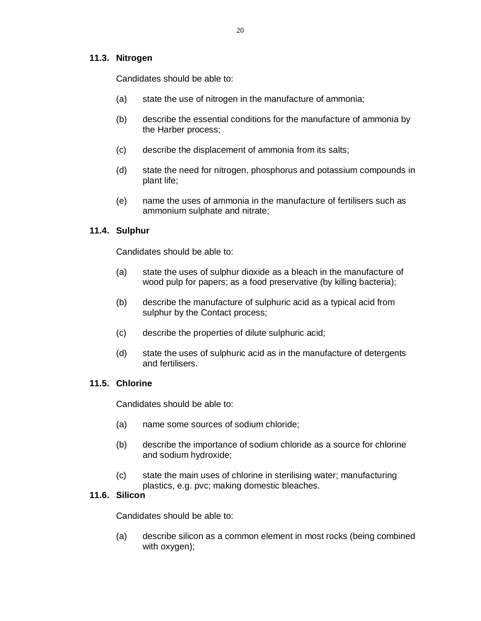## **11.3. Nitrogen**

Candidates should be able to:

- (a) state the use of nitrogen in the manufacture of ammonia;
- (b) describe the essential conditions for the manufacture of ammonia by the Harber process;
- (c) describe the displacement of ammonia from its salts;
- (d) state the need for nitrogen, phosphorus and potassium compounds in plant life;
- (e) name the uses of ammonia in the manufacture of fertilisers such as ammonium sulphate and nitrate;

## **11.4. Sulphur**

Candidates should be able to:

- (a) state the uses of sulphur dioxide as a bleach in the manufacture of wood pulp for papers; as a food preservative (by killing bacteria);
- (b) describe the manufacture of sulphuric acid as a typical acid from sulphur by the Contact process;
- (c) describe the properties of dilute sulphuric acid;
- (d) state the uses of sulphuric acid as in the manufacture of detergents and fertilisers.

#### **11.5. Chlorine**

Candidates should be able to:

- (a) name some sources of sodium chloride;
- (b) describe the importance of sodium chloride as a source for chlorine and sodium hydroxide;
- (c) state the main uses of chlorine in sterilising water; manufacturing plastics, e.g. pvc; making domestic bleaches.

## **11.6. Silicon**

Candidates should be able to:

(a) describe silicon as a common element in most rocks (being combined with oxygen);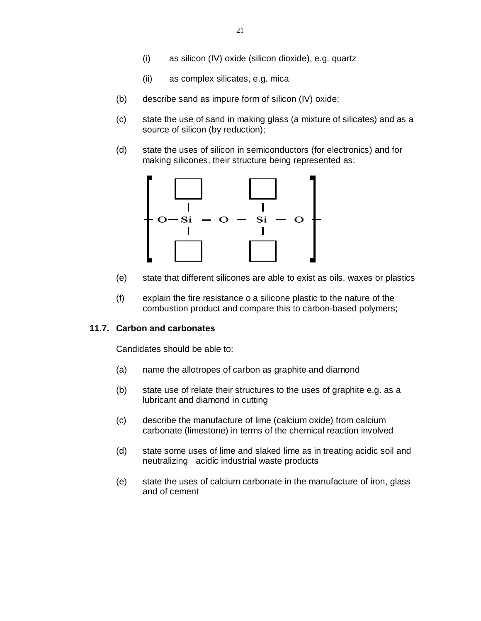- (i) as silicon (IV) oxide (silicon dioxide), e.g. quartz
- (ii) as complex silicates, e.g. mica
- (b) describe sand as impure form of silicon (IV) oxide;
- (c) state the use of sand in making glass (a mixture of silicates) and as a source of silicon (by reduction);
- (d) state the uses of silicon in semiconductors (for electronics) and for making silicones, their structure being represented as:



- (e) state that different silicones are able to exist as oils, waxes or plastics
- (f) explain the fire resistance o a silicone plastic to the nature of the combustion product and compare this to carbon-based polymers;

#### **11.7. Carbon and carbonates**

- (a) name the allotropes of carbon as graphite and diamond
- (b) state use of relate their structures to the uses of graphite e.g. as a lubricant and diamond in cutting
- (c) describe the manufacture of lime (calcium oxide) from calcium carbonate (limestone) in terms of the chemical reaction involved
- (d) state some uses of lime and slaked lime as in treating acidic soil and neutralizing acidic industrial waste products
- (e) state the uses of calcium carbonate in the manufacture of iron, glass and of cement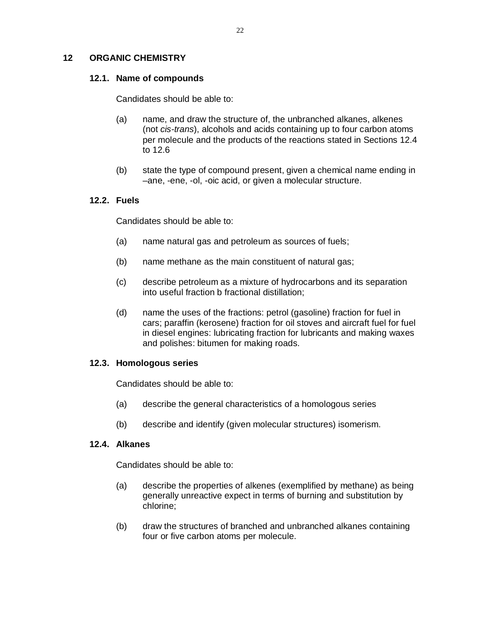## **12 ORGANIC CHEMISTRY**

#### **12.1. Name of compounds**

Candidates should be able to:

- (a) name, and draw the structure of, the unbranched alkanes, alkenes (not *cis-trans*), alcohols and acids containing up to four carbon atoms per molecule and the products of the reactions stated in Sections 12.4 to 12.6
- (b) state the type of compound present, given a chemical name ending in –ane, -ene, -ol, -oic acid, or given a molecular structure.

#### **12.2. Fuels**

Candidates should be able to:

- (a) name natural gas and petroleum as sources of fuels;
- (b) name methane as the main constituent of natural gas;
- (c) describe petroleum as a mixture of hydrocarbons and its separation into useful fraction b fractional distillation;
- (d) name the uses of the fractions: petrol (gasoline) fraction for fuel in cars; paraffin (kerosene) fraction for oil stoves and aircraft fuel for fuel in diesel engines: lubricating fraction for lubricants and making waxes and polishes: bitumen for making roads.

#### **12.3. Homologous series**

Candidates should be able to:

- (a) describe the general characteristics of a homologous series
- (b) describe and identify (given molecular structures) isomerism.

#### **12.4. Alkanes**

- (a) describe the properties of alkenes (exemplified by methane) as being generally unreactive expect in terms of burning and substitution by chlorine;
- (b) draw the structures of branched and unbranched alkanes containing four or five carbon atoms per molecule.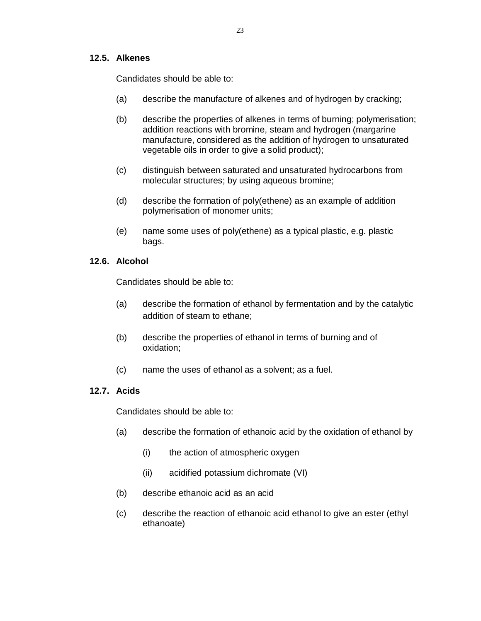#### **12.5. Alkenes**

Candidates should be able to:

- (a) describe the manufacture of alkenes and of hydrogen by cracking;
- (b) describe the properties of alkenes in terms of burning; polymerisation; addition reactions with bromine, steam and hydrogen (margarine manufacture, considered as the addition of hydrogen to unsaturated vegetable oils in order to give a solid product);
- (c) distinguish between saturated and unsaturated hydrocarbons from molecular structures; by using aqueous bromine;
- (d) describe the formation of poly(ethene) as an example of addition polymerisation of monomer units;
- (e) name some uses of poly(ethene) as a typical plastic, e.g. plastic bags.

#### **12.6. Alcohol**

Candidates should be able to:

- (a) describe the formation of ethanol by fermentation and by the catalytic addition of steam to ethane;
- (b) describe the properties of ethanol in terms of burning and of oxidation;
- (c) name the uses of ethanol as a solvent; as a fuel.

## **12.7. Acids**

- (a) describe the formation of ethanoic acid by the oxidation of ethanol by
	- (i) the action of atmospheric oxygen
	- (ii) acidified potassium dichromate (VI)
- (b) describe ethanoic acid as an acid
- (c) describe the reaction of ethanoic acid ethanol to give an ester (ethyl ethanoate)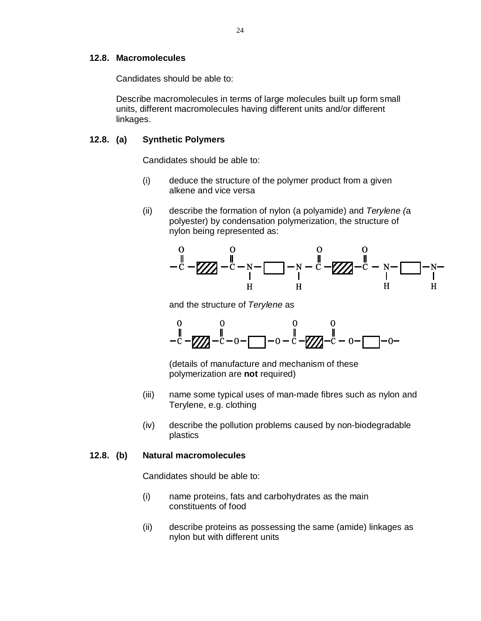#### **12.8. Macromolecules**

Candidates should be able to:

Describe macromolecules in terms of large molecules built up form small units, different macromolecules having different units and/or different linkages.

## **12.8. (a) Synthetic Polymers**

Candidates should be able to:

- (i) deduce the structure of the polymer product from a given alkene and vice versa
- (ii) describe the formation of nylon (a polyamide) and *Terylene (*a polyester) by condensation polymerization, the structure of nylon being represented as:



and the structure of *Terylene* as



(details of manufacture and mechanism of these polymerization are **not** required)

- (iii) name some typical uses of man-made fibres such as nylon and Terylene, e.g. clothing
- (iv) describe the pollution problems caused by non-biodegradable plastics

#### **12.8. (b) Natural macromolecules**

- (i) name proteins, fats and carbohydrates as the main constituents of food
- (ii) describe proteins as possessing the same (amide) linkages as nylon but with different units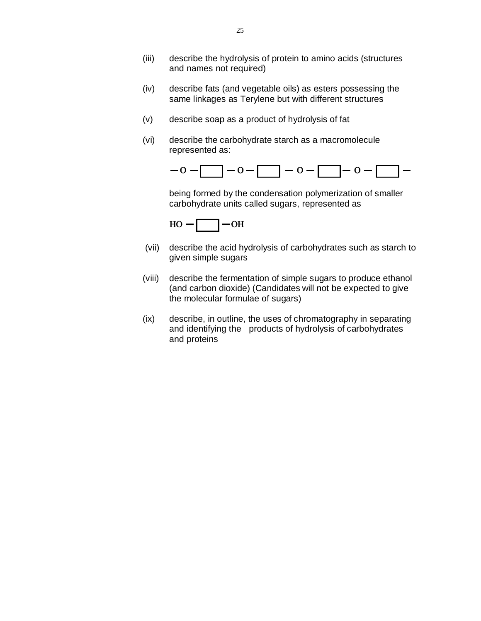- (iii) describe the hydrolysis of protein to amino acids (structures and names not required)
- (iv) describe fats (and vegetable oils) as esters possessing the same linkages as Terylene but with different structures
- (v) describe soap as a product of hydrolysis of fat
- (vi) describe the carbohydrate starch as a macromolecule represented as:



being formed by the condensation polymerization of smaller carbohydrate units called sugars, represented as



- (vii) describe the acid hydrolysis of carbohydrates such as starch to given simple sugars
- (viii) describe the fermentation of simple sugars to produce ethanol (and carbon dioxide) (Candidates will not be expected to give the molecular formulae of sugars)
- (ix) describe, in outline, the uses of chromatography in separating and identifying the products of hydrolysis of carbohydrates and proteins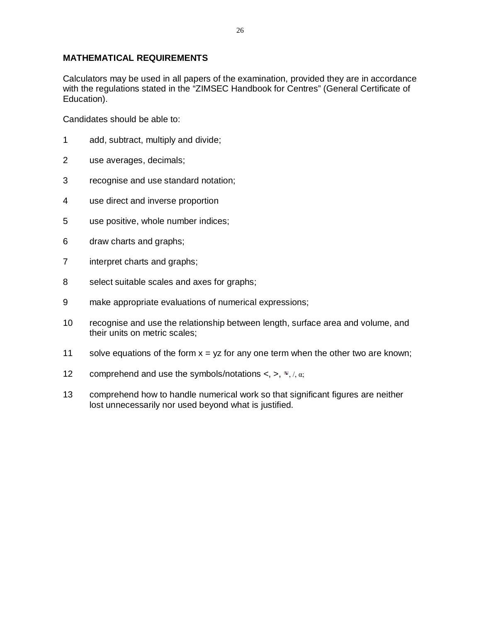## **MATHEMATICAL REQUIREMENTS**

Calculators may be used in all papers of the examination, provided they are in accordance with the regulations stated in the "ZIMSEC Handbook for Centres" (General Certificate of Education).

- 1 add, subtract, multiply and divide;
- 2 use averages, decimals;
- 3 recognise and use standard notation;
- 4 use direct and inverse proportion
- 5 use positive, whole number indices;
- 6 draw charts and graphs;
- 7 interpret charts and graphs;
- 8 select suitable scales and axes for graphs;
- 9 make appropriate evaluations of numerical expressions;
- 10 recognise and use the relationship between length, surface area and volume, and their units on metric scales;
- 11 solve equations of the form  $x = yz$  for any one term when the other two are known;
- 12 comprehend and use the symbols/notations  $\lt$ ,  $\gt$ ,  $\approx$ ,  $/$ ,  $\alpha$ ;
- 13 comprehend how to handle numerical work so that significant figures are neither lost unnecessarily nor used beyond what is justified.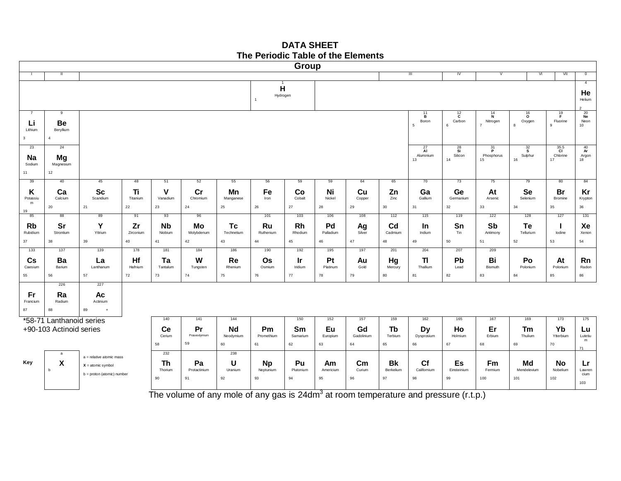## **DATA SHEET The Periodic Table of the Elements**



The volume of any mole of any gas is 24dm<sup>3</sup> at room temperature and pressure (r.t.p.)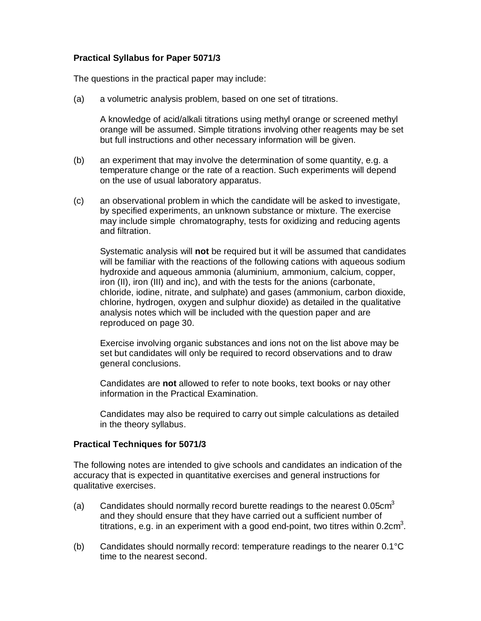#### **Practical Syllabus for Paper 5071/3**

The questions in the practical paper may include:

(a) a volumetric analysis problem, based on one set of titrations.

A knowledge of acid/alkali titrations using methyl orange or screened methyl orange will be assumed. Simple titrations involving other reagents may be set but full instructions and other necessary information will be given.

- (b) an experiment that may involve the determination of some quantity, e.g. a temperature change or the rate of a reaction. Such experiments will depend on the use of usual laboratory apparatus.
- (c) an observational problem in which the candidate will be asked to investigate, by specified experiments, an unknown substance or mixture. The exercise may include simple chromatography, tests for oxidizing and reducing agents and filtration.

Systematic analysis will **not** be required but it will be assumed that candidates will be familiar with the reactions of the following cations with aqueous sodium hydroxide and aqueous ammonia (aluminium, ammonium, calcium, copper, iron (II), iron (III) and inc), and with the tests for the anions (carbonate, chloride, iodine, nitrate, and sulphate) and gases (ammonium, carbon dioxide, chlorine, hydrogen, oxygen and sulphur dioxide) as detailed in the qualitative analysis notes which will be included with the question paper and are reproduced on page 30.

Exercise involving organic substances and ions not on the list above may be set but candidates will only be required to record observations and to draw general conclusions.

Candidates are **not** allowed to refer to note books, text books or nay other information in the Practical Examination.

Candidates may also be required to carry out simple calculations as detailed in the theory syllabus.

#### **Practical Techniques for 5071/3**

The following notes are intended to give schools and candidates an indication of the accuracy that is expected in quantitative exercises and general instructions for qualitative exercises.

- (a) Candidates should normally record burette readings to the nearest 0.05 $cm<sup>3</sup>$ and they should ensure that they have carried out a sufficient number of titrations, e.g. in an experiment with a good end-point, two titres within 0.2cm<sup>3</sup>.
- (b) Candidates should normally record: temperature readings to the nearer 0.1°C time to the nearest second.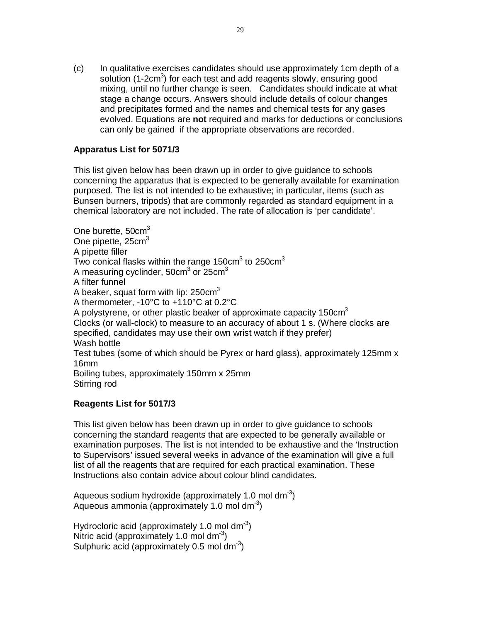(c) In qualitative exercises candidates should use approximately 1cm depth of a solution (1-2 $cm<sup>3</sup>$ ) for each test and add reagents slowly, ensuring good mixing, until no further change is seen. Candidates should indicate at what stage a change occurs. Answers should include details of colour changes and precipitates formed and the names and chemical tests for any gases evolved. Equations are **not** required and marks for deductions or conclusions can only be gained if the appropriate observations are recorded.

## **Apparatus List for 5071/3**

This list given below has been drawn up in order to give guidance to schools concerning the apparatus that is expected to be generally available for examination purposed. The list is not intended to be exhaustive; in particular, items (such as Bunsen burners, tripods) that are commonly regarded as standard equipment in a chemical laboratory are not included. The rate of allocation is 'per candidate'.

One burette, 50cm<sup>3</sup> One pipette, 25cm<sup>3</sup> A pipette filler Two conical flasks within the range 150cm $^3$  to 250cm $^3$ A measuring cyclinder, 50cm $^3$  or 25cm $^3$ A filter funnel A beaker, squat form with lip:  $250 \text{cm}^3$ A thermometer, -10°C to +110°C at 0.2°C A polystyrene, or other plastic beaker of approximate capacity 150cm<sup>3</sup> Clocks (or wall-clock) to measure to an accuracy of about 1 s. (Where clocks are specified, candidates may use their own wrist watch if they prefer) Wash bottle Test tubes (some of which should be Pyrex or hard glass), approximately 125mm x 16mm Boiling tubes, approximately 150mm x 25mm Stirring rod

#### **Reagents List for 5017/3**

This list given below has been drawn up in order to give guidance to schools concerning the standard reagents that are expected to be generally available or examination purposes. The list is not intended to be exhaustive and the 'Instruction to Supervisors' issued several weeks in advance of the examination will give a full list of all the reagents that are required for each practical examination. These Instructions also contain advice about colour blind candidates.

Aqueous sodium hydroxide (approximately 1.0 mol dm $3$ ) Aqueous ammonia (approximately 1.0 mol dm<sup>-3</sup>)

Hydrocloric acid (approximately 1.0 mol dm $3$ ) Nitric acid (approximately 1.0 mol dm<sup>-3</sup>) Sulphuric acid (approximately 0.5 mol dm<sup>-3</sup>)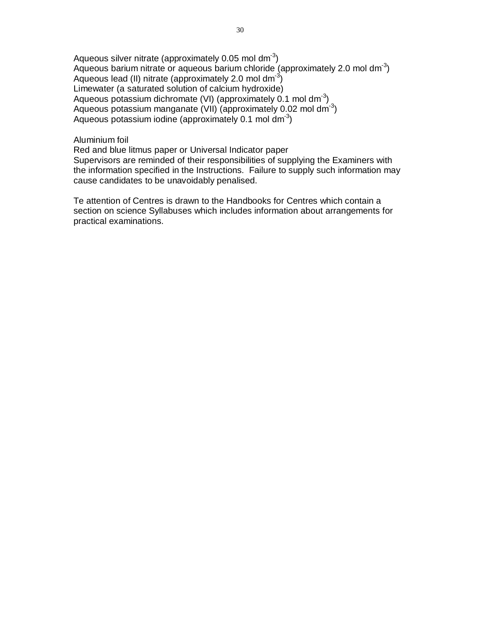Aqueous silver nitrate (approximately 0.05 mol dm<sup>-3</sup>) Aqueous barium nitrate or aqueous barium chloride (approximately 2.0 mol dm<sup>-3</sup>) Aqueous lead (II) nitrate (approximately 2.0 mol dm<sup>-3</sup>) Limewater (a saturated solution of calcium hydroxide) Aqueous potassium dichromate (VI) (approximately 0.1 mol dm<sup>-3</sup>) Aqueous potassium manganate (VII) (approximately 0.02 mol dm<sup>-3</sup>) Aqueous potassium iodine (approximately 0.1 mol dm<sup>-3</sup>)

#### Aluminium foil

Red and blue litmus paper or Universal Indicator paper Supervisors are reminded of their responsibilities of supplying the Examiners with the information specified in the Instructions. Failure to supply such information may cause candidates to be unavoidably penalised.

Te attention of Centres is drawn to the Handbooks for Centres which contain a section on science Syllabuses which includes information about arrangements for practical examinations.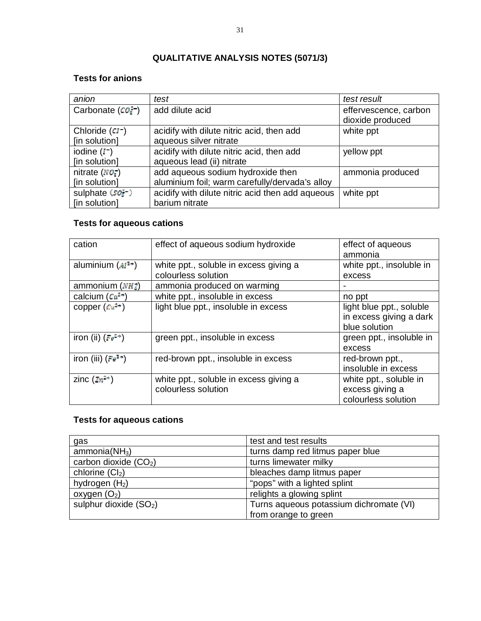# **QUALITATIVE ANALYSIS NOTES (5071/3)**

## **Tests for anions**

| anion                              | test                                             | test result                               |
|------------------------------------|--------------------------------------------------|-------------------------------------------|
| Carbonate $(CO_{\mathbb{R}}^{2-})$ | add dilute acid                                  | effervescence, carbon<br>dioxide produced |
| Chloride $(CI^-)$                  | acidify with dilute nitric acid, then add        | white ppt                                 |
| [in solution]                      | aqueous silver nitrate                           |                                           |
| iodine $(I^-)$                     | acidify with dilute nitric acid, then add        | yellow ppt                                |
| [in solution]                      | aqueous lead (ii) nitrate                        |                                           |
| nitrate $(NO_{\rm s})$             | add aqueous sodium hydroxide then                | ammonia produced                          |
| [in solution]                      | aluminium foil; warm carefully/dervada's alloy   |                                           |
| sulphate (soz-)                    | acidify with dilute nitric acid then add aqueous | white ppt                                 |
| [in solution]                      | barium nitrate                                   |                                           |

## **Tests for aqueous cations**

| cation                 | effect of aqueous sodium hydroxide     | effect of aqueous        |
|------------------------|----------------------------------------|--------------------------|
|                        |                                        | ammonia                  |
| aluminium $(M^{2+})$   | white ppt., soluble in excess giving a | white ppt., insoluble in |
|                        | colourless solution                    | excess                   |
| ammonium $(NH_a^+)$    | ammonia produced on warming            |                          |
| calcium $(Ca^{2+})$    | white ppt., insoluble in excess        | no ppt                   |
| copper $(Cu^{2+})$     | light blue ppt., insoluble in excess   | light blue ppt., soluble |
|                        |                                        | in excess giving a dark  |
|                        |                                        | blue solution            |
| iron (ii) $(Fe^{2+})$  | green ppt., insoluble in excess        | green ppt., insoluble in |
|                        |                                        | excess                   |
| iron (iii) $(Fe^{2+})$ | red-brown ppt., insoluble in excess    | red-brown ppt.,          |
|                        |                                        | insoluble in excess      |
| zinc $(2n^{2+})$       | white ppt., soluble in excess giving a | white ppt., soluble in   |
|                        | colourless solution                    | excess giving a          |
|                        |                                        | colourless solution      |

# **Tests for aqueous cations**

| gas                       | test and test results                   |
|---------------------------|-----------------------------------------|
| ammonia(NH <sub>3</sub> ) | turns damp red litmus paper blue        |
| carbon dioxide $(CO2)$    | turns limewater milky                   |
| chlorine $(Cl2)$          | bleaches damp litmus paper              |
| hydrogen $(H2)$           | "pops" with a lighted splint            |
| oxygen $(O_2)$            | relights a glowing splint               |
| sulphur dioxide $(SO2)$   | Turns aqueous potassium dichromate (VI) |
|                           | from orange to green                    |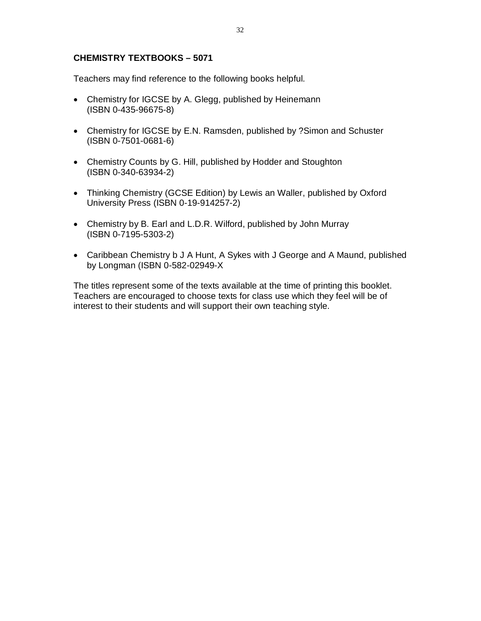## **CHEMISTRY TEXTBOOKS – 5071**

Teachers may find reference to the following books helpful.

- Chemistry for IGCSE by A. Glegg, published by Heinemann (ISBN 0-435-96675-8)
- Chemistry for IGCSE by E.N. Ramsden, published by ?Simon and Schuster (ISBN 0-7501-0681-6)
- Chemistry Counts by G. Hill, published by Hodder and Stoughton (ISBN 0-340-63934-2)
- Thinking Chemistry (GCSE Edition) by Lewis an Waller, published by Oxford University Press (ISBN 0-19-914257-2)
- Chemistry by B. Earl and L.D.R. Wilford, published by John Murray (ISBN 0-7195-5303-2)
- Caribbean Chemistry b J A Hunt, A Sykes with J George and A Maund, published by Longman (ISBN 0-582-02949-X

The titles represent some of the texts available at the time of printing this booklet. Teachers are encouraged to choose texts for class use which they feel will be of interest to their students and will support their own teaching style.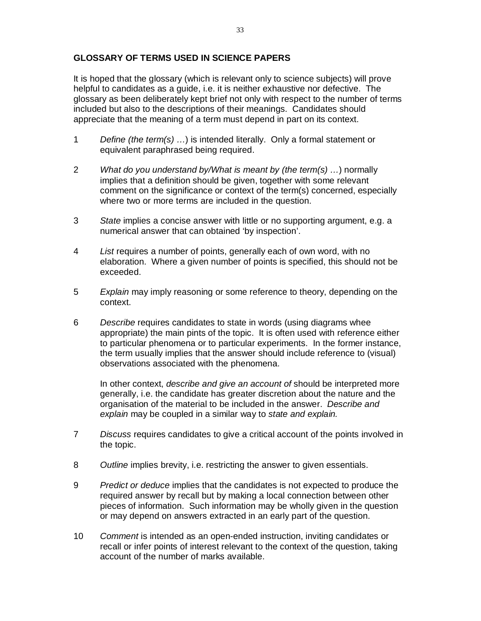## **GLOSSARY OF TERMS USED IN SCIENCE PAPERS**

It is hoped that the glossary (which is relevant only to science subjects) will prove helpful to candidates as a guide, i.e. it is neither exhaustive nor defective. The glossary as been deliberately kept brief not only with respect to the number of terms included but also to the descriptions of their meanings. Candidates should appreciate that the meaning of a term must depend in part on its context.

- 1 *Define (the term(s) …*) is intended literally. Only a formal statement or equivalent paraphrased being required.
- 2 *What do you understand by/What is meant by (the term(s) …*) normally implies that a definition should be given, together with some relevant comment on the significance or context of the term(s) concerned, especially where two or more terms are included in the question.
- 3 *State* implies a concise answer with little or no supporting argument, e.g. a numerical answer that can obtained 'by inspection'.
- 4 *List* requires a number of points, generally each of own word, with no elaboration. Where a given number of points is specified, this should not be exceeded.
- 5 *Explain* may imply reasoning or some reference to theory, depending on the context.
- 6 *Describe* requires candidates to state in words (using diagrams whee appropriate) the main pints of the topic. It is often used with reference either to particular phenomena or to particular experiments. In the former instance, the term usually implies that the answer should include reference to (visual) observations associated with the phenomena.

In other context, *describe and give an account of* should be interpreted more generally, i.e. the candidate has greater discretion about the nature and the organisation of the material to be included in the answer. *Describe and explain* may be coupled in a similar way to *state and explain.*

- 7 *Discuss* requires candidates to give a critical account of the points involved in the topic.
- 8 *Outline* implies brevity, i.e. restricting the answer to given essentials.
- 9 *Predict or deduce* implies that the candidates is not expected to produce the required answer by recall but by making a local connection between other pieces of information. Such information may be wholly given in the question or may depend on answers extracted in an early part of the question.
- 10 *Comment* is intended as an open-ended instruction, inviting candidates or recall or infer points of interest relevant to the context of the question, taking account of the number of marks available.